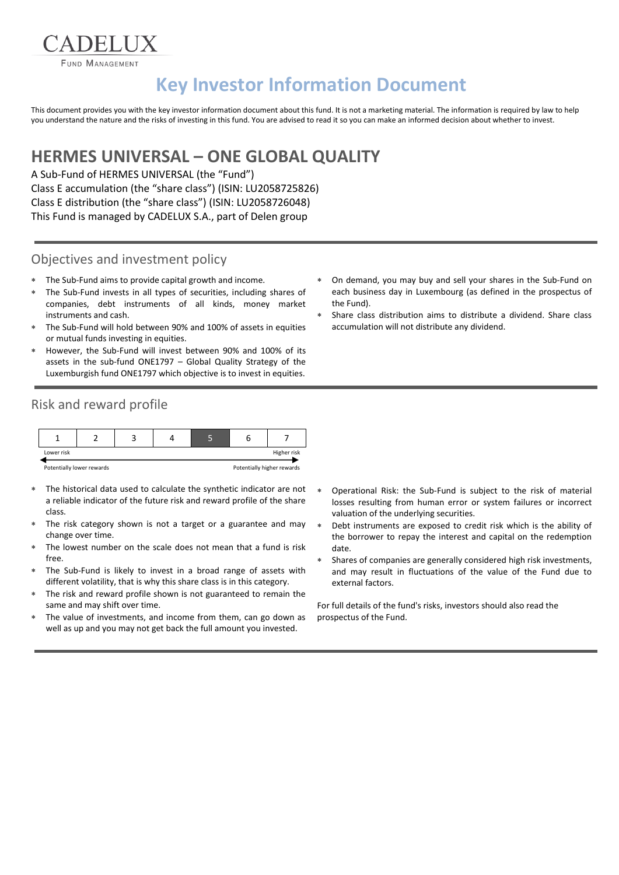**FUND MANAGEMENT** 

**ADELIIX** 

# **Key Investor Information Document**

This document provides you with the key investor information document about this fund. It is not a marketing material. The information is required by law to help you understand the nature and the risks of investing in this fund. You are advised to read it so you can make an informed decision about whether to invest.

## **HERMES UNIVERSAL – ONE GLOBAL QUALITY**

A Sub-Fund of HERMES UNIVERSAL (the "Fund") Class E accumulation (the "share class") (ISIN: LU2058725826) Class E distribution (the "share class") (ISIN: LU2058726048) This Fund is managed by CADELUX S.A., part of Delen group

#### Objectives and investment policy

- The Sub-Fund aims to provide capital growth and income.
- The Sub-Fund invests in all types of securities, including shares of companies, debt instruments of all kinds, money market instruments and cash.
- The Sub-Fund will hold between 90% and 100% of assets in equities or mutual funds investing in equities.
- However, the Sub-Fund will invest between 90% and 100% of its assets in the sub-fund ONE1797 – Global Quality Strategy of the Luxemburgish fund ONE1797 which objective is to invest in equities.
- Risk and reward profile



- The historical data used to calculate the synthetic indicator are not a reliable indicator of the future risk and reward profile of the share class.
- The risk category shown is not a target or a guarantee and may change over time.
- The lowest number on the scale does not mean that a fund is risk free.
- The Sub-Fund is likely to invest in a broad range of assets with different volatility, that is why this share class is in this category.
- The risk and reward profile shown is not guaranteed to remain the same and may shift over time.
- The value of investments, and income from them, can go down as well as up and you may not get back the full amount you invested.
- On demand, you may buy and sell your shares in the Sub-Fund on each business day in Luxembourg (as defined in the prospectus of the Fund).
- Share class distribution aims to distribute a dividend. Share class accumulation will not distribute any dividend.

- Operational Risk: the Sub-Fund is subject to the risk of material losses resulting from human error or system failures or incorrect valuation of the underlying securities.
- Debt instruments are exposed to credit risk which is the ability of the borrower to repay the interest and capital on the redemption date.
- Shares of companies are generally considered high risk investments, and may result in fluctuations of the value of the Fund due to external factors.

For full details of the fund's risks, investors should also read the prospectus of the Fund.